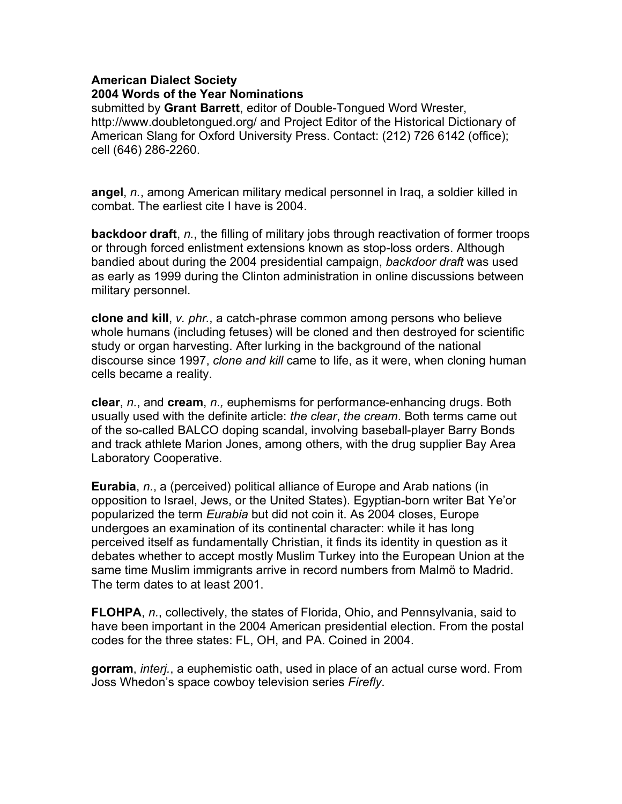## **American Dialect Society 2004 Words of the Year Nominations**

submitted by **Grant Barrett**, editor of Double-Tongued Word Wrester, http://www.doubletongued.org/ and Project Editor of the Historical Dictionary of American Slang for Oxford University Press. Contact: (212) 726 6142 (office); cell (646) 286-2260.

**angel**, *n.*, among American military medical personnel in Iraq, a soldier killed in combat. The earliest cite I have is 2004.

**backdoor draft**, *n.*, the filling of military jobs through reactivation of former troops or through forced enlistment extensions known as stop-loss orders. Although bandied about during the 2004 presidential campaign, *backdoor draft* was used as early as 1999 during the Clinton administration in online discussions between military personnel.

**clone and kill**, *v. phr.*, a catch-phrase common among persons who believe whole humans (including fetuses) will be cloned and then destroyed for scientific study or organ harvesting. After lurking in the background of the national discourse since 1997, *clone and kill* came to life, as it were, when cloning human cells became a reality.

**clear**, *n.*, and **cream**, *n.,* euphemisms for performance-enhancing drugs. Both usually used with the definite article: *the clear*, *the cream*. Both terms came out of the so-called BALCO doping scandal, involving baseball-player Barry Bonds and track athlete Marion Jones, among others, with the drug supplier Bay Area Laboratory Cooperative.

**Eurabia**, *n.*, a (perceived) political alliance of Europe and Arab nations (in opposition to Israel, Jews, or the United States). Egyptian-born writer Bat Ye'or popularized the term *Eurabia* but did not coin it. As 2004 closes, Europe undergoes an examination of its continental character: while it has long perceived itself as fundamentally Christian, it finds its identity in question as it debates whether to accept mostly Muslim Turkey into the European Union at the same time Muslim immigrants arrive in record numbers from Malmö to Madrid. The term dates to at least 2001.

**FLOHPA**, *n.*, collectively, the states of Florida, Ohio, and Pennsylvania, said to have been important in the 2004 American presidential election. From the postal codes for the three states: FL, OH, and PA. Coined in 2004.

**gorram**, *interj.*, a euphemistic oath, used in place of an actual curse word. From Joss Whedon's space cowboy television series *Firefly*.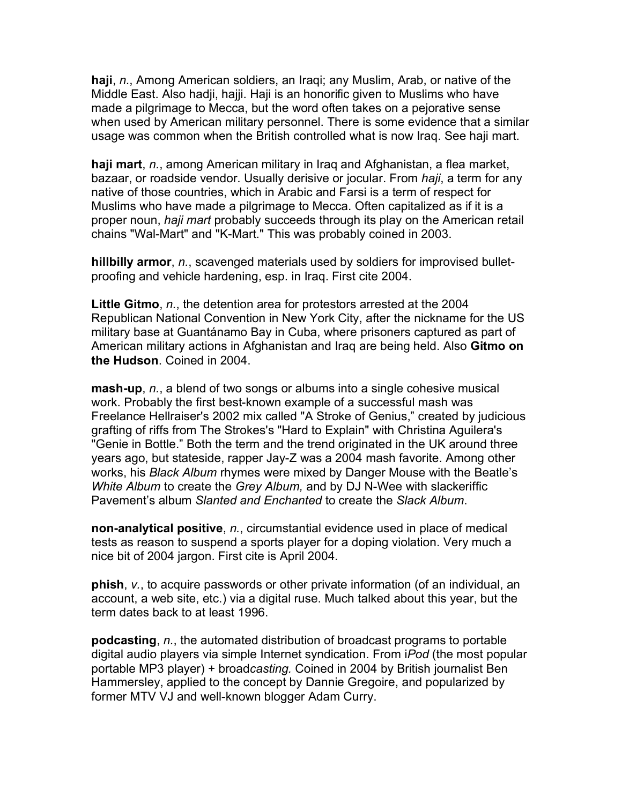**haji**, *n.*, Among American soldiers, an Iraqi; any Muslim, Arab, or native of the Middle East. Also hadji, hajji. Haji is an honorific given to Muslims who have made a pilgrimage to Mecca, but the word often takes on a pejorative sense when used by American military personnel. There is some evidence that a similar usage was common when the British controlled what is now Iraq. See haji mart.

**haji mart**, *n.*, among American military in Iraq and Afghanistan, a flea market, bazaar, or roadside vendor. Usually derisive or jocular. From *haji*, a term for any native of those countries, which in Arabic and Farsi is a term of respect for Muslims who have made a pilgrimage to Mecca. Often capitalized as if it is a proper noun, *haji mart* probably succeeds through its play on the American retail chains "Wal-Mart" and "K-Mart." This was probably coined in 2003.

**hillbilly armor**, *n.*, scavenged materials used by soldiers for improvised bulletproofing and vehicle hardening, esp. in Iraq. First cite 2004.

**Little Gitmo**, *n.*, the detention area for protestors arrested at the 2004 Republican National Convention in New York City, after the nickname for the US military base at Guantánamo Bay in Cuba, where prisoners captured as part of American military actions in Afghanistan and Iraq are being held. Also **Gitmo on the Hudson**. Coined in 2004.

**mash-up**, *n.*, a blend of two songs or albums into a single cohesive musical work. Probably the first best-known example of a successful mash was Freelance Hellraiser's 2002 mix called "A Stroke of Genius," created by judicious grafting of riffs from The Strokes's "Hard to Explain" with Christina Aguilera's "Genie in Bottle." Both the term and the trend originated in the UK around three years ago, but stateside, rapper Jay-Z was a 2004 mash favorite. Among other works, his *Black Album* rhymes were mixed by Danger Mouse with the Beatle's *White Album* to create the *Grey Album,* and by DJ N-Wee with slackeriffic Pavement's album *Slanted and Enchanted* to create the *Slack Album*.

**non-analytical positive**, *n.*, circumstantial evidence used in place of medical tests as reason to suspend a sports player for a doping violation. Very much a nice bit of 2004 jargon. First cite is April 2004.

**phish**, *v.*, to acquire passwords or other private information (of an individual, an account, a web site, etc.) via a digital ruse. Much talked about this year, but the term dates back to at least 1996.

**podcasting**, *n.*, the automated distribution of broadcast programs to portable digital audio players via simple Internet syndication. From i*Pod* (the most popular portable MP3 player) + broad*casting.* Coined in 2004 by British journalist Ben Hammersley, applied to the concept by Dannie Gregoire, and popularized by former MTV VJ and well-known blogger Adam Curry.